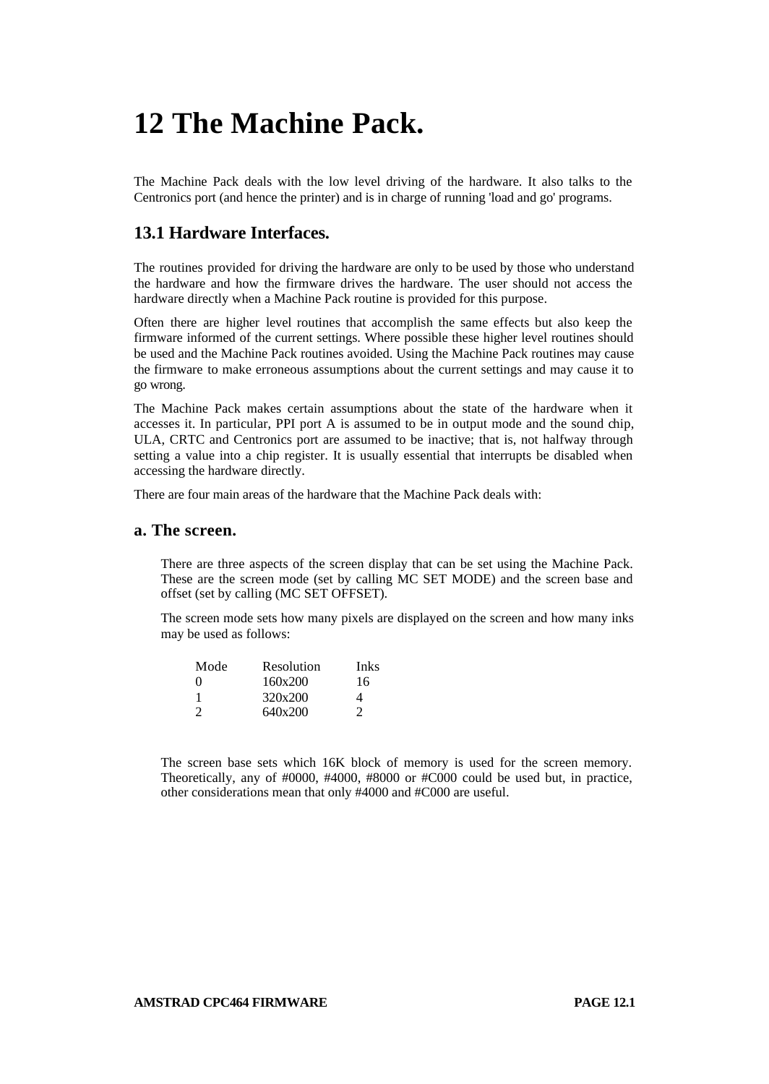# **12 The Machine Pack.**

The Machine Pack deals with the low level driving of the hardware. It also talks to the Centronics port (and hence the printer) and is in charge of running 'load and go' programs.

## **13.1 Hardware Interfaces.**

The routines provided for driving the hardware are only to be used by those who understand the hardware and how the firmware drives the hardware. The user should not access the hardware directly when a Machine Pack routine is provided for this purpose.

Often there are higher level routines that accomplish the same effects but also keep the firmware informed of the current settings. Where possible these higher level routines should be used and the Machine Pack routines avoided. Using the Machine Pack routines may cause the firmware to make erroneous assumptions about the current settings and may cause it to go wrong.

The Machine Pack makes certain assumptions about the state of the hardware when it accesses it. In particular, PPI port A is assumed to be in output mode and the sound chip, ULA, CRTC and Centronics port are assumed to be inactive; that is, not halfway through setting a value into a chip register. It is usually essential that interrupts be disabled when accessing the hardware directly.

There are four main areas of the hardware that the Machine Pack deals with:

#### **a. The screen.**

There are three aspects of the screen display that can be set using the Machine Pack. These are the screen mode (set by calling MC SET MODE) and the screen base and offset (set by calling (MC SET OFFSET).

The screen mode sets how many pixels are displayed on the screen and how many inks may be used as follows:

| Mode          | Resolution | Inks                        |
|---------------|------------|-----------------------------|
| $\theta$      | 160x200    | 16                          |
|               | 320x200    | 4                           |
| $\mathcal{L}$ | 640x200    | $\mathcal{D}_{\mathcal{A}}$ |
|               |            |                             |

The screen base sets which 16K block of memory is used for the screen memory. Theoretically, any of #0000, #4000, #8000 or #C000 could be used but, in practice, other considerations mean that only #4000 and #C000 are useful.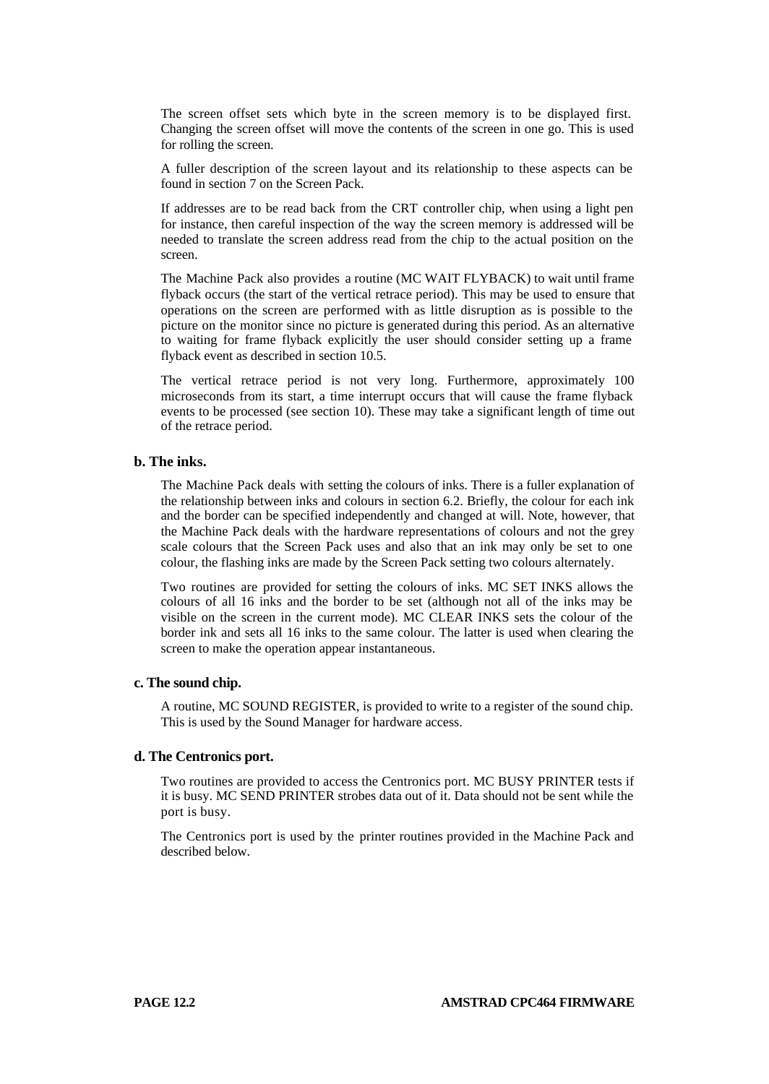The screen offset sets which byte in the screen memory is to be displayed first. Changing the screen offset will move the contents of the screen in one go. This is used for rolling the screen.

A fuller description of the screen layout and its relationship to these aspects can be found in section 7 on the Screen Pack.

If addresses are to be read back from the CRT controller chip, when using a light pen for instance, then careful inspection of the way the screen memory is addressed will be needed to translate the screen address read from the chip to the actual position on the screen.

The Machine Pack also provides a routine (MC WAIT FLYBACK) to wait until frame flyback occurs (the start of the vertical retrace period). This may be used to ensure that operations on the screen are performed with as little disruption as is possible to the picture on the monitor since no picture is generated during this period. As an alternative to waiting for frame flyback explicitly the user should consider setting up a frame flyback event as described in section 10.5.

The vertical retrace period is not very long. Furthermore, approximately 100 microseconds from its start, a time interrupt occurs that will cause the frame flyback events to be processed (see section 10). These may take a significant length of time out of the retrace period.

### **b. The inks.**

The Machine Pack deals with setting the colours of inks. There is a fuller explanation of the relationship between inks and colours in section 6.2. Briefly, the colour for each ink and the border can be specified independently and changed at will. Note, however, that the Machine Pack deals with the hardware representations of colours and not the grey scale colours that the Screen Pack uses and also that an ink may only be set to one colour, the flashing inks are made by the Screen Pack setting two colours alternately.

Two routines are provided for setting the colours of inks. MC SET INKS allows the colours of all 16 inks and the border to be set (although not all of the inks may be visible on the screen in the current mode). MC CLEAR INKS sets the colour of the border ink and sets all 16 inks to the same colour. The latter is used when clearing the screen to make the operation appear instantaneous.

#### **c. The sound chip.**

A routine, MC SOUND REGISTER, is provided to write to a register of the sound chip. This is used by the Sound Manager for hardware access.

#### **d. The Centronics port.**

Two routines are provided to access the Centronics port. MC BUSY PRINTER tests if it is busy. MC SEND PRINTER strobes data out of it. Data should not be sent while the port is busy.

The Centronics port is used by the printer routines provided in the Machine Pack and described below.